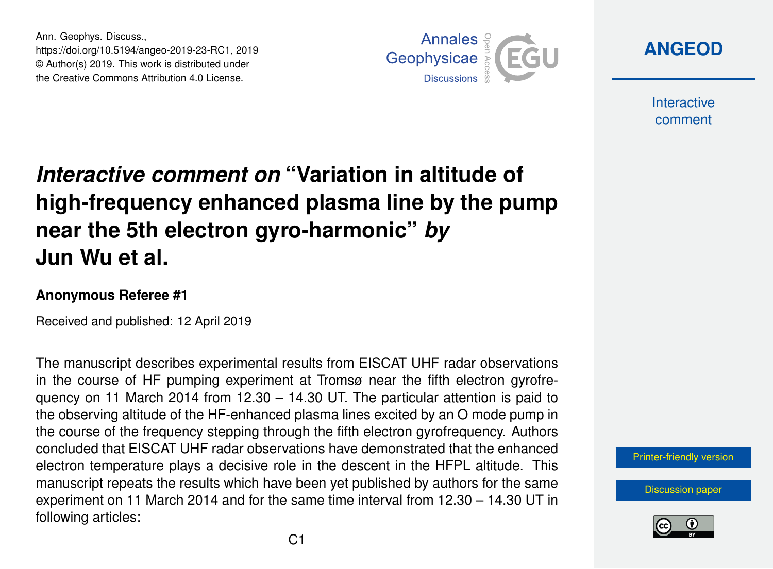Ann. Geophys. Discuss., https://doi.org/10.5194/angeo-2019-23-RC1, 2019 © Author(s) 2019. This work is distributed under the Creative Commons Attribution 4.0 License.



**[ANGEOD](https://www.ann-geophys-discuss.net/)**

**Interactive** comment

## *Interactive comment on* **"Variation in altitude of high-frequency enhanced plasma line by the pump near the 5th electron gyro-harmonic"** *by* **Jun Wu et al.**

## **Anonymous Referee #1**

Received and published: 12 April 2019

The manuscript describes experimental results from EISCAT UHF radar observations in the course of HF pumping experiment at Tromsø near the fifth electron gyrofrequency on 11 March 2014 from  $12.30 - 14.30$  UT. The particular attention is paid to the observing altitude of the HF-enhanced plasma lines excited by an O mode pump in the course of the frequency stepping through the fifth electron gyrofrequency. Authors concluded that EISCAT UHF radar observations have demonstrated that the enhanced electron temperature plays a decisive role in the descent in the HFPL altitude. This manuscript repeats the results which have been yet published by authors for the same experiment on 11 March 2014 and for the same time interval from 12.30 – 14.30 UT in following articles:



[Discussion paper](https://www.ann-geophys-discuss.net/angeo-2019-23)

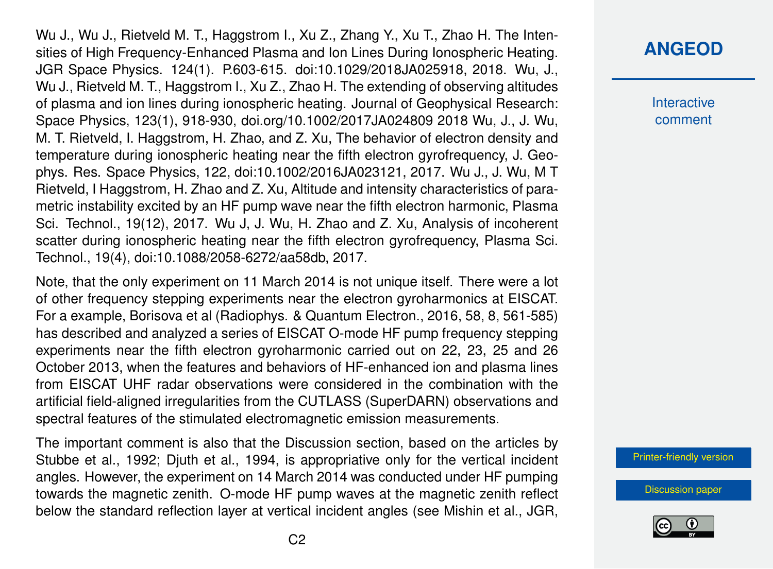Wu J., Wu J., Rietveld M. T., Haggstrom I., Xu Z., Zhang Y., Xu T., Zhao H. The Intensities of High Frequency-Enhanced Plasma and Ion Lines During Ionospheric Heating. JGR Space Physics. 124(1). P.603-615. doi:10.1029/2018JA025918, 2018. Wu, J., Wu J., Rietveld M. T., Haggstrom I., Xu Z., Zhao H. The extending of observing altitudes of plasma and ion lines during ionospheric heating. Journal of Geophysical Research: Space Physics, 123(1), 918-930, doi.org/10.1002/2017JA024809 2018 Wu, J., J. Wu, M. T. Rietveld, I. Haggstrom, H. Zhao, and Z. Xu, The behavior of electron density and temperature during ionospheric heating near the fifth electron gyrofrequency, J. Geophys. Res. Space Physics, 122, doi:10.1002/2016JA023121, 2017. Wu J., J. Wu, M T Rietveld, I Haggstrom, H. Zhao and Z. Xu, Altitude and intensity characteristics of parametric instability excited by an HF pump wave near the fifth electron harmonic, Plasma Sci. Technol., 19(12), 2017. Wu J, J. Wu, H. Zhao and Z. Xu, Analysis of incoherent scatter during ionospheric heating near the fifth electron gyrofrequency, Plasma Sci. Technol., 19(4), doi:10.1088/2058-6272/aa58db, 2017.

Note, that the only experiment on 11 March 2014 is not unique itself. There were a lot of other frequency stepping experiments near the electron gyroharmonics at EISCAT. For a example, Borisova et al (Radiophys. & Quantum Electron., 2016, 58, 8, 561-585) has described and analyzed a series of EISCAT O-mode HF pump frequency stepping experiments near the fifth electron gyroharmonic carried out on 22, 23, 25 and 26 October 2013, when the features and behaviors of HF-enhanced ion and plasma lines from EISCAT UHF radar observations were considered in the combination with the artificial field-aligned irregularities from the CUTLASS (SuperDARN) observations and spectral features of the stimulated electromagnetic emission measurements.

The important comment is also that the Discussion section, based on the articles by Stubbe et al., 1992; Djuth et al., 1994, is appropriative only for the vertical incident angles. However, the experiment on 14 March 2014 was conducted under HF pumping towards the magnetic zenith. O-mode HF pump waves at the magnetic zenith reflect below the standard reflection layer at vertical incident angles (see Mishin et al., JGR,

## **[ANGEOD](https://www.ann-geophys-discuss.net/)**

**Interactive** comment

[Printer-friendly version](https://www.ann-geophys-discuss.net/angeo-2019-23/angeo-2019-23-RC1-print.pdf)

[Discussion paper](https://www.ann-geophys-discuss.net/angeo-2019-23)